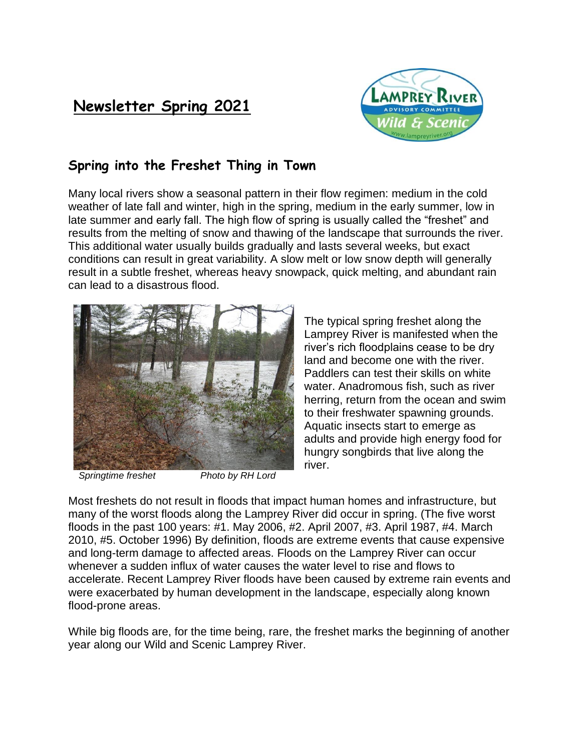# **Newsletter Spring 2021**



### **Spring into the Freshet Thing in Town**

Many local rivers show a seasonal pattern in their flow regimen: medium in the cold weather of late fall and winter, high in the spring, medium in the early summer, low in late summer and early fall. The high flow of spring is usually called the "freshet" and results from the melting of snow and thawing of the landscape that surrounds the river. This additional water usually builds gradually and lasts several weeks, but exact conditions can result in great variability. A slow melt or low snow depth will generally result in a subtle freshet, whereas heavy snowpack, quick melting, and abundant rain can lead to a disastrous flood.



 *Springtime freshet Photo by RH Lord*

The typical spring freshet along the Lamprey River is manifested when the river's rich floodplains cease to be dry land and become one with the river. Paddlers can test their skills on white water. Anadromous fish, such as river herring, return from the ocean and swim to their freshwater spawning grounds. Aquatic insects start to emerge as adults and provide high energy food for hungry songbirds that live along the river.

Most freshets do not result in floods that impact human homes and infrastructure, but many of the worst floods along the Lamprey River did occur in spring. (The five worst floods in the past 100 years: #1. May 2006, #2. April 2007, #3. April 1987, #4. March 2010, #5. October 1996) By definition, floods are extreme events that cause expensive and long-term damage to affected areas. Floods on the Lamprey River can occur whenever a sudden influx of water causes the water level to rise and flows to accelerate. Recent Lamprey River floods have been caused by extreme rain events and were exacerbated by human development in the landscape, especially along known flood-prone areas.

While big floods are, for the time being, rare, the freshet marks the beginning of another year along our Wild and Scenic Lamprey River.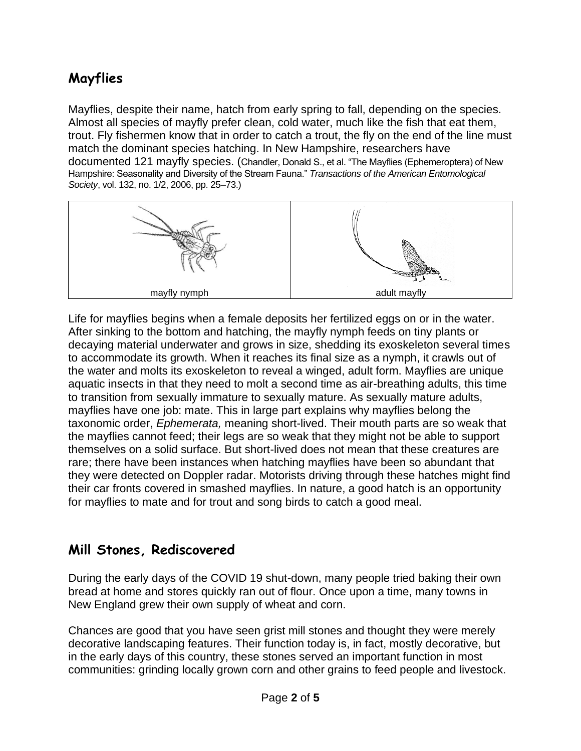## **Mayflies**

Mayflies, despite their name, hatch from early spring to fall, depending on the species. Almost all species of mayfly prefer clean, cold water, much like the fish that eat them, trout. Fly fishermen know that in order to catch a trout, the fly on the end of the line must match the dominant species hatching. In New Hampshire, researchers have documented 121 mayfly species. (Chandler, Donald S., et al. "The Mayflies (Ephemeroptera) of New Hampshire: Seasonality and Diversity of the Stream Fauna." *Transactions of the American Entomological Society*, vol. 132, no. 1/2, 2006, pp. 25–73.)



Life for mayflies begins when a female deposits her fertilized eggs on or in the water. After sinking to the bottom and hatching, the mayfly nymph feeds on tiny plants or decaying material underwater and grows in size, shedding its exoskeleton several times to accommodate its growth. When it reaches its final size as a nymph, it crawls out of the water and molts its exoskeleton to reveal a winged, adult form. Mayflies are unique aquatic insects in that they need to molt a second time as air-breathing adults, this time to transition from sexually immature to sexually mature. As sexually mature adults, mayflies have one job: mate. This in large part explains why mayflies belong the taxonomic order, *Ephemerata,* meaning short-lived. Their mouth parts are so weak that the mayflies cannot feed; their legs are so weak that they might not be able to support themselves on a solid surface. But short-lived does not mean that these creatures are rare; there have been instances when hatching mayflies have been so abundant that they were detected on Doppler radar. Motorists driving through these hatches might find their car fronts covered in smashed mayflies. In nature, a good hatch is an opportunity for mayflies to mate and for trout and song birds to catch a good meal.

#### **Mill Stones, Rediscovered**

During the early days of the COVID 19 shut-down, many people tried baking their own bread at home and stores quickly ran out of flour. Once upon a time, many towns in New England grew their own supply of wheat and corn.

Chances are good that you have seen grist mill stones and thought they were merely decorative landscaping features. Their function today is, in fact, mostly decorative, but in the early days of this country, these stones served an important function in most communities: grinding locally grown corn and other grains to feed people and livestock.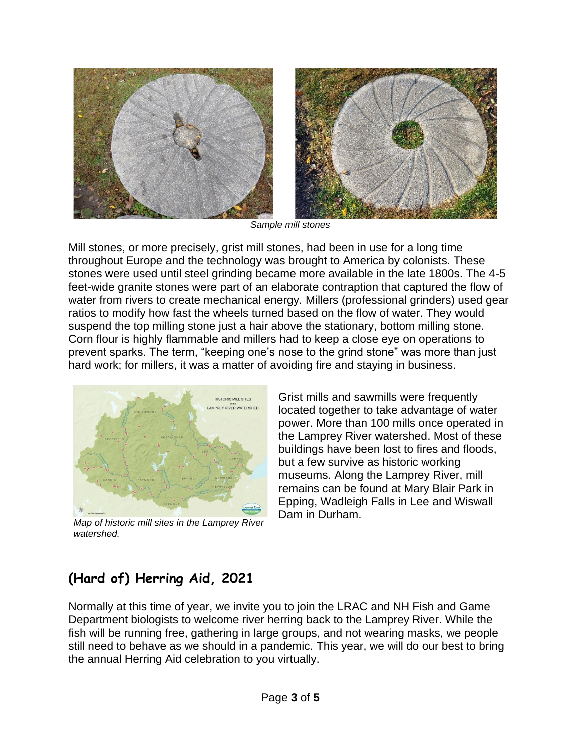

*Sample mill stones*

Mill stones, or more precisely, grist mill stones, had been in use for a long time throughout Europe and the technology was brought to America by colonists. These stones were used until steel grinding became more available in the late 1800s. The 4-5 feet-wide granite stones were part of an elaborate contraption that captured the flow of water from rivers to create mechanical energy. Millers (professional grinders) used gear ratios to modify how fast the wheels turned based on the flow of water. They would suspend the top milling stone just a hair above the stationary, bottom milling stone. Corn flour is highly flammable and millers had to keep a close eye on operations to prevent sparks. The term, "keeping one's nose to the grind stone" was more than just hard work; for millers, it was a matter of avoiding fire and staying in business.



*Map of historic mill sites in the Lamprey River watershed.*

Grist mills and sawmills were frequently located together to take advantage of water power. More than 100 mills once operated in the Lamprey River watershed. Most of these buildings have been lost to fires and floods, but a few survive as historic working museums. Along the Lamprey River, mill remains can be found at Mary Blair Park in Epping, Wadleigh Falls in Lee and Wiswall Dam in Durham.

# **(Hard of) Herring Aid, 2021**

Normally at this time of year, we invite you to join the LRAC and NH Fish and Game Department biologists to welcome river herring back to the Lamprey River. While the fish will be running free, gathering in large groups, and not wearing masks, we people still need to behave as we should in a pandemic. This year, we will do our best to bring the annual Herring Aid celebration to you virtually.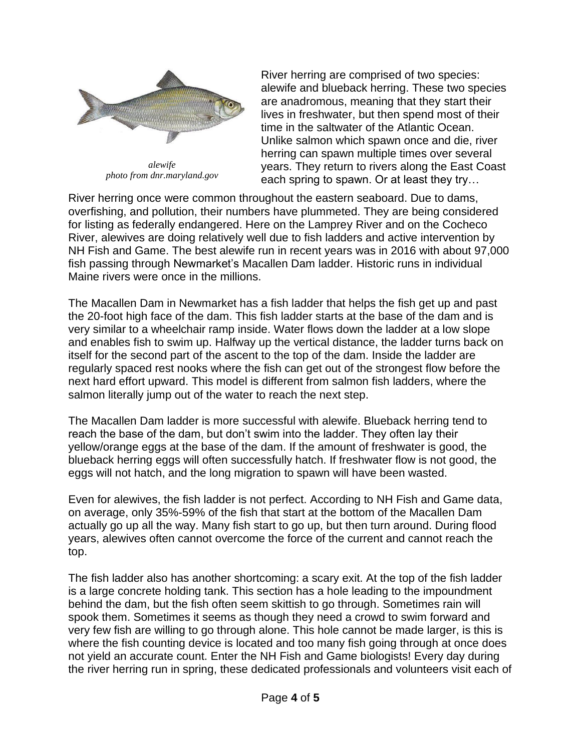

*alewife photo from dnr.maryland.gov*

River herring are comprised of two species: alewife and blueback herring. These two species are anadromous, meaning that they start their lives in freshwater, but then spend most of their time in the saltwater of the Atlantic Ocean. Unlike salmon which spawn once and die, river herring can spawn multiple times over several years. They return to rivers along the East Coast each spring to spawn. Or at least they try…

River herring once were common throughout the eastern seaboard. Due to dams, overfishing, and pollution, their numbers have plummeted. They are being considered for listing as federally endangered. Here on the Lamprey River and on the Cocheco River, alewives are doing relatively well due to fish ladders and active intervention by NH Fish and Game. The best alewife run in recent years was in 2016 with about 97,000 fish passing through Newmarket's Macallen Dam ladder. Historic runs in individual Maine rivers were once in the millions.

The Macallen Dam in Newmarket has a fish ladder that helps the fish get up and past the 20-foot high face of the dam. This fish ladder starts at the base of the dam and is very similar to a wheelchair ramp inside. Water flows down the ladder at a low slope and enables fish to swim up. Halfway up the vertical distance, the ladder turns back on itself for the second part of the ascent to the top of the dam. Inside the ladder are regularly spaced rest nooks where the fish can get out of the strongest flow before the next hard effort upward. This model is different from salmon fish ladders, where the salmon literally jump out of the water to reach the next step.

The Macallen Dam ladder is more successful with alewife. Blueback herring tend to reach the base of the dam, but don't swim into the ladder. They often lay their yellow/orange eggs at the base of the dam. If the amount of freshwater is good, the blueback herring eggs will often successfully hatch. If freshwater flow is not good, the eggs will not hatch, and the long migration to spawn will have been wasted.

Even for alewives, the fish ladder is not perfect. According to NH Fish and Game data, on average, only 35%-59% of the fish that start at the bottom of the Macallen Dam actually go up all the way. Many fish start to go up, but then turn around. During flood years, alewives often cannot overcome the force of the current and cannot reach the top.

The fish ladder also has another shortcoming: a scary exit. At the top of the fish ladder is a large concrete holding tank. This section has a hole leading to the impoundment behind the dam, but the fish often seem skittish to go through. Sometimes rain will spook them. Sometimes it seems as though they need a crowd to swim forward and very few fish are willing to go through alone. This hole cannot be made larger, is this is where the fish counting device is located and too many fish going through at once does not yield an accurate count. Enter the NH Fish and Game biologists! Every day during the river herring run in spring, these dedicated professionals and volunteers visit each of